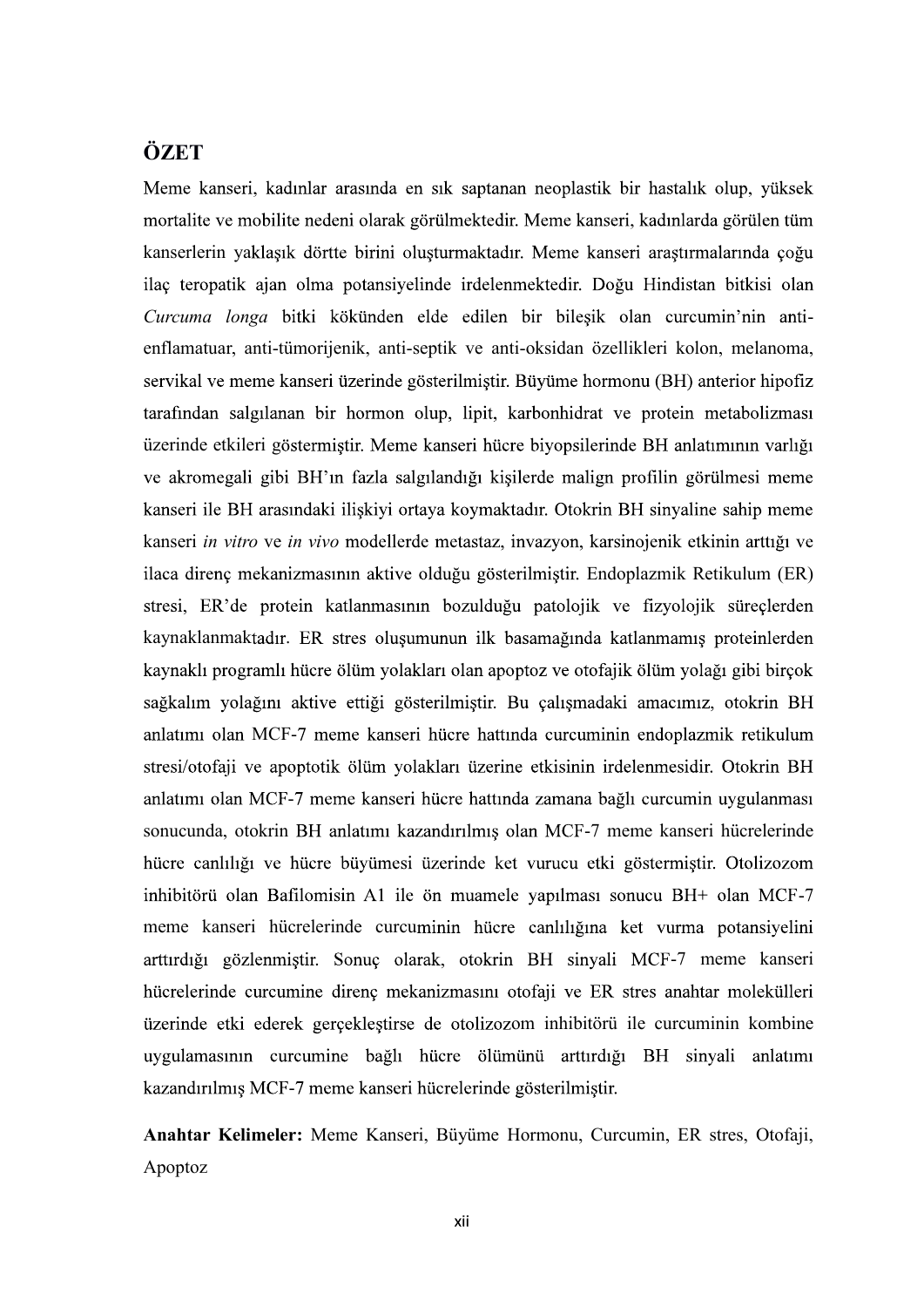## **ÖZET**

Meme kanseri, kadınlar arasında en sık saptanan neoplastik bir hastalık olup, yüksek mortalite ve mobilite nedeni olarak görülmektedir. Meme kanseri, kadınlarda görülen tüm kanserlerin yaklasık dörtte birini olusturmaktadır. Meme kanseri arastırmalarında coğu ilaç teropatik ajan olma potansiyelinde irdelenmektedir. Doğu Hindistan bitkisi olan Curcuma longa bitki kökünden elde edilen bir bilesik olan curcumin'nin antienflamatuar, anti-tümorijenik, anti-septik ve anti-oksidan özellikleri kolon, melanoma, servikal ve meme kanseri üzerinde gösterilmiştir. Büyüme hormonu (BH) anterior hipofiz tarafından salgılanan bir hormon olup, lipit, karbonhidrat ve protein metabolizması üzerinde etkileri göstermiştir. Meme kanseri hücre biyopsilerinde BH anlatımının varlığı ve akromegali gibi BH'ın fazla salgılandığı kişilerde malign profilin görülmesi meme kanseri ile BH arasındaki iliskiyi ortaya koymaktadır. Otokrin BH sinyaline sahip meme kanseri in vitro ve in vivo modellerde metastaz, invazyon, karsinojenik etkinin arttığı ve ilaca direnç mekanizmasının aktive olduğu gösterilmiştir. Endoplazmik Retikulum (ER) stresi, ER'de protein katlanmasının bozulduğu patolojik ve fizyolojik süreçlerden kaynaklanmaktadır. ER stres oluşumunun ilk basamağında katlanmamış proteinlerden<br>kaynaklı programlı hücre ölüm yolakları olan apoptoz ve otofajik ölüm yolağı gibi birçok<br>sağkalım yolağını aktive ettiği gösterilmiştir. Bu ç stresi/otofaji ve apoptotik ölüm yolakları üzerine etkisinin irdelenmesidir. Otokrin BH anlatımı olan MCF-7 meme kanseri hücre hattında zamana bağlı curcumin uygulanması sonucunda, otokrin BH anlatımı kazandırılmıs olan MCF-7 meme kanseri hücrelerinde hücre canlılığı ve hücre büyümesi üzerinde ket vurucu etki göstermiştir. Otolizozom inhibitörü olan Bafilomisin A1 ile ön muamele yapılması sonucu BH+ olan MCF-7 meme kanseri hücrelerinde curcuminin hücre canlılığına ket vurma potansiyelini arttırdığı gözlenmiştir. Sonuç olarak, otokrin BH sinyali MCF-7 meme kanseri hücrelerinde curcumine direnç mekanizmasını otofaji ve ER stres anahtar molekülleri üzerinde etki ederek gerçekleştirse de otolizozom inhibitörü ile curcuminin kombine uygulamasının curcumine bağlı hücre ölümünü arttırdığı BH sinyali anlatımı kazandırılmış MCF-7 meme kanseri hücrelerinde gösterilmiştir.

Anahtar Kelimeler: Meme Kanseri, Büyüme Hormonu, Curcumin, ER stres, Otofaji, Apoptoz